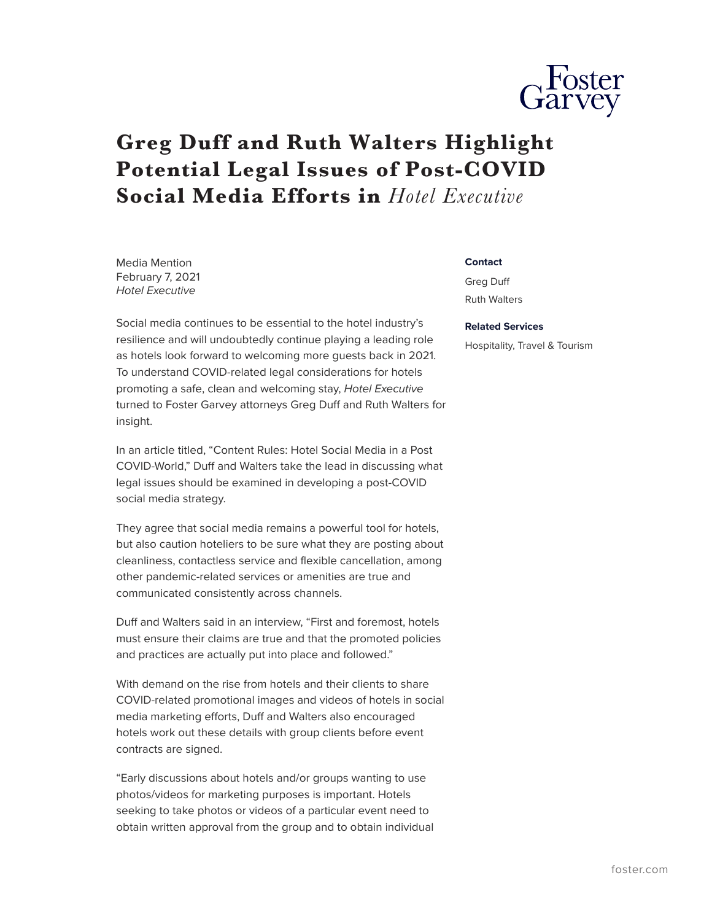

## **Greg Duff and Ruth Walters Highlight Potential Legal Issues of Post-COVID Social Media Efforts in** *Hotel Executive*

Media Mention February 7, 2021 *Hotel Executive*

Social media continues to be essential to the hotel industry's resilience and will undoubtedly continue playing a leading role as hotels look forward to welcoming more guests back in 2021. To understand COVID-related legal considerations for hotels promoting a safe, clean and welcoming stay, *Hotel Executive* turned to Foster Garvey attorneys Greg Duff and Ruth Walters for insight.

In an article titled, "Content Rules: Hotel Social Media in a Post COVID-World," Duff and Walters take the lead in discussing what legal issues should be examined in developing a post-COVID social media strategy.

They agree that social media remains a powerful tool for hotels, but also caution hoteliers to be sure what they are posting about cleanliness, contactless service and flexible cancellation, among other pandemic-related services or amenities are true and communicated consistently across channels.

Duff and Walters said in an interview, "First and foremost, hotels must ensure their claims are true and that the promoted policies and practices are actually put into place and followed."

With demand on the rise from hotels and their clients to share COVID-related promotional images and videos of hotels in social media marketing efforts, Duff and Walters also encouraged hotels work out these details with group clients before event contracts are signed.

"Early discussions about hotels and/or groups wanting to use photos/videos for marketing purposes is important. Hotels seeking to take photos or videos of a particular event need to obtain written approval from the group and to obtain individual

## **Contact**

Greg Duff Ruth Walters

## **Related Services**

Hospitality, Travel & Tourism